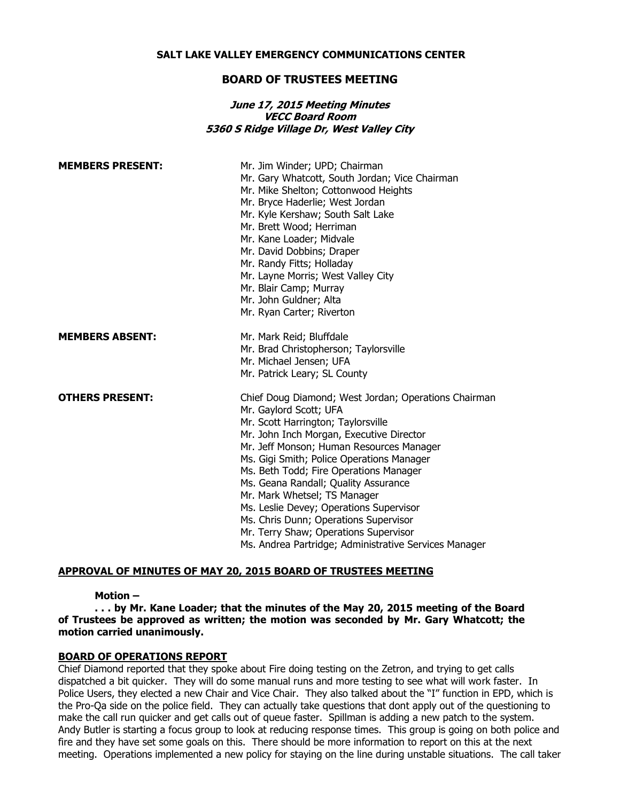#### **SALT LAKE VALLEY EMERGENCY COMMUNICATIONS CENTER**

## **BOARD OF TRUSTEES MEETING**

## **June 17, 2015 Meeting Minutes VECC Board Room 5360 S Ridge Village Dr, West Valley City**

| <b>MEMBERS PRESENT:</b> | Mr. Jim Winder; UPD; Chairman<br>Mr. Gary Whatcott, South Jordan; Vice Chairman<br>Mr. Mike Shelton; Cottonwood Heights<br>Mr. Bryce Haderlie; West Jordan<br>Mr. Kyle Kershaw; South Salt Lake<br>Mr. Brett Wood; Herriman<br>Mr. Kane Loader; Midvale<br>Mr. David Dobbins; Draper<br>Mr. Randy Fitts; Holladay<br>Mr. Layne Morris; West Valley City<br>Mr. Blair Camp; Murray<br>Mr. John Guldner; Alta<br>Mr. Ryan Carter; Riverton                                                                                                                          |
|-------------------------|-------------------------------------------------------------------------------------------------------------------------------------------------------------------------------------------------------------------------------------------------------------------------------------------------------------------------------------------------------------------------------------------------------------------------------------------------------------------------------------------------------------------------------------------------------------------|
| <b>MEMBERS ABSENT:</b>  | Mr. Mark Reid; Bluffdale<br>Mr. Brad Christopherson; Taylorsville<br>Mr. Michael Jensen; UFA<br>Mr. Patrick Leary; SL County                                                                                                                                                                                                                                                                                                                                                                                                                                      |
| <b>OTHERS PRESENT:</b>  | Chief Doug Diamond; West Jordan; Operations Chairman<br>Mr. Gaylord Scott; UFA<br>Mr. Scott Harrington; Taylorsville<br>Mr. John Inch Morgan, Executive Director<br>Mr. Jeff Monson; Human Resources Manager<br>Ms. Gigi Smith; Police Operations Manager<br>Ms. Beth Todd; Fire Operations Manager<br>Ms. Geana Randall; Quality Assurance<br>Mr. Mark Whetsel; TS Manager<br>Ms. Leslie Devey; Operations Supervisor<br>Ms. Chris Dunn; Operations Supervisor<br>Mr. Terry Shaw; Operations Supervisor<br>Ms. Andrea Partridge; Administrative Services Manager |

### **APPROVAL OF MINUTES OF MAY 20, 2015 BOARD OF TRUSTEES MEETING**

### **Motion –**

**. . . by Mr. Kane Loader; that the minutes of the May 20, 2015 meeting of the Board of Trustees be approved as written; the motion was seconded by Mr. Gary Whatcott; the motion carried unanimously.**

#### **BOARD OF OPERATIONS REPORT**

Chief Diamond reported that they spoke about Fire doing testing on the Zetron, and trying to get calls dispatched a bit quicker. They will do some manual runs and more testing to see what will work faster. In Police Users, they elected a new Chair and Vice Chair. They also talked about the "I" function in EPD, which is the Pro-Qa side on the police field. They can actually take questions that dont apply out of the questioning to make the call run quicker and get calls out of queue faster. Spillman is adding a new patch to the system. Andy Butler is starting a focus group to look at reducing response times. This group is going on both police and fire and they have set some goals on this. There should be more information to report on this at the next meeting. Operations implemented a new policy for staying on the line during unstable situations. The call taker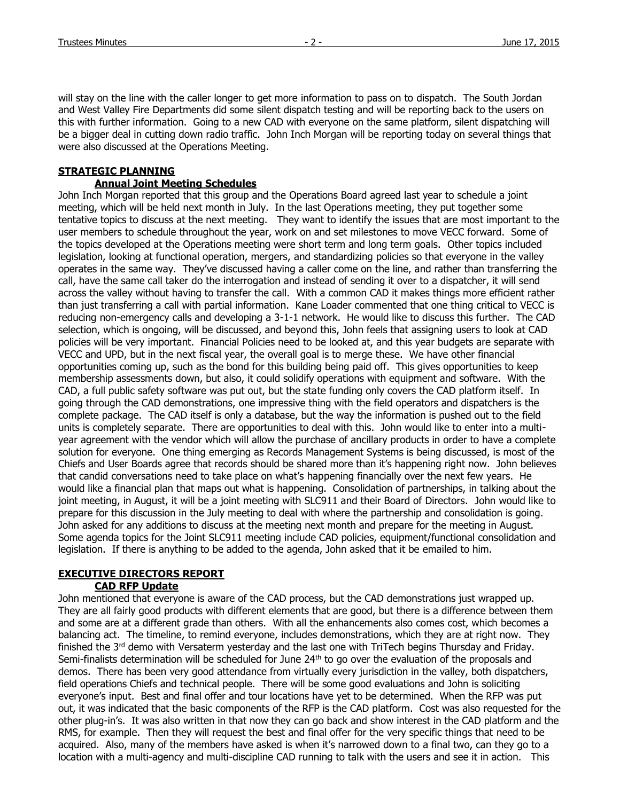will stay on the line with the caller longer to get more information to pass on to dispatch. The South Jordan and West Valley Fire Departments did some silent dispatch testing and will be reporting back to the users on this with further information. Going to a new CAD with everyone on the same platform, silent dispatching will be a bigger deal in cutting down radio traffic. John Inch Morgan will be reporting today on several things that were also discussed at the Operations Meeting.

# **STRATEGIC PLANNING**

# **Annual Joint Meeting Schedules**

John Inch Morgan reported that this group and the Operations Board agreed last year to schedule a joint meeting, which will be held next month in July. In the last Operations meeting, they put together some tentative topics to discuss at the next meeting. They want to identify the issues that are most important to the user members to schedule throughout the year, work on and set milestones to move VECC forward. Some of the topics developed at the Operations meeting were short term and long term goals. Other topics included legislation, looking at functional operation, mergers, and standardizing policies so that everyone in the valley operates in the same way. They've discussed having a caller come on the line, and rather than transferring the call, have the same call taker do the interrogation and instead of sending it over to a dispatcher, it will send across the valley without having to transfer the call. With a common CAD it makes things more efficient rather than just transferring a call with partial information. Kane Loader commented that one thing critical to VECC is reducing non-emergency calls and developing a 3-1-1 network. He would like to discuss this further. The CAD selection, which is ongoing, will be discussed, and beyond this, John feels that assigning users to look at CAD policies will be very important. Financial Policies need to be looked at, and this year budgets are separate with VECC and UPD, but in the next fiscal year, the overall goal is to merge these. We have other financial opportunities coming up, such as the bond for this building being paid off. This gives opportunities to keep membership assessments down, but also, it could solidify operations with equipment and software. With the CAD, a full public safety software was put out, but the state funding only covers the CAD platform itself. In going through the CAD demonstrations, one impressive thing with the field operators and dispatchers is the complete package. The CAD itself is only a database, but the way the information is pushed out to the field units is completely separate. There are opportunities to deal with this. John would like to enter into a multiyear agreement with the vendor which will allow the purchase of ancillary products in order to have a complete solution for everyone. One thing emerging as Records Management Systems is being discussed, is most of the Chiefs and User Boards agree that records should be shared more than it's happening right now. John believes that candid conversations need to take place on what's happening financially over the next few years. He would like a financial plan that maps out what is happening. Consolidation of partnerships, in talking about the joint meeting, in August, it will be a joint meeting with SLC911 and their Board of Directors. John would like to prepare for this discussion in the July meeting to deal with where the partnership and consolidation is going. John asked for any additions to discuss at the meeting next month and prepare for the meeting in August. Some agenda topics for the Joint SLC911 meeting include CAD policies, equipment/functional consolidation and legislation. If there is anything to be added to the agenda, John asked that it be emailed to him.

# **EXECUTIVE DIRECTORS REPORT**

# **CAD RFP Update**

John mentioned that everyone is aware of the CAD process, but the CAD demonstrations just wrapped up. They are all fairly good products with different elements that are good, but there is a difference between them and some are at a different grade than others. With all the enhancements also comes cost, which becomes a balancing act. The timeline, to remind everyone, includes demonstrations, which they are at right now. They finished the 3<sup>rd</sup> demo with Versaterm yesterday and the last one with TriTech begins Thursday and Friday. Semi-finalists determination will be scheduled for June  $24<sup>th</sup>$  to go over the evaluation of the proposals and demos. There has been very good attendance from virtually every jurisdiction in the valley, both dispatchers, field operations Chiefs and technical people. There will be some good evaluations and John is soliciting everyone's input. Best and final offer and tour locations have yet to be determined. When the RFP was put out, it was indicated that the basic components of the RFP is the CAD platform. Cost was also requested for the other plug-in's. It was also written in that now they can go back and show interest in the CAD platform and the RMS, for example. Then they will request the best and final offer for the very specific things that need to be acquired. Also, many of the members have asked is when it's narrowed down to a final two, can they go to a location with a multi-agency and multi-discipline CAD running to talk with the users and see it in action. This